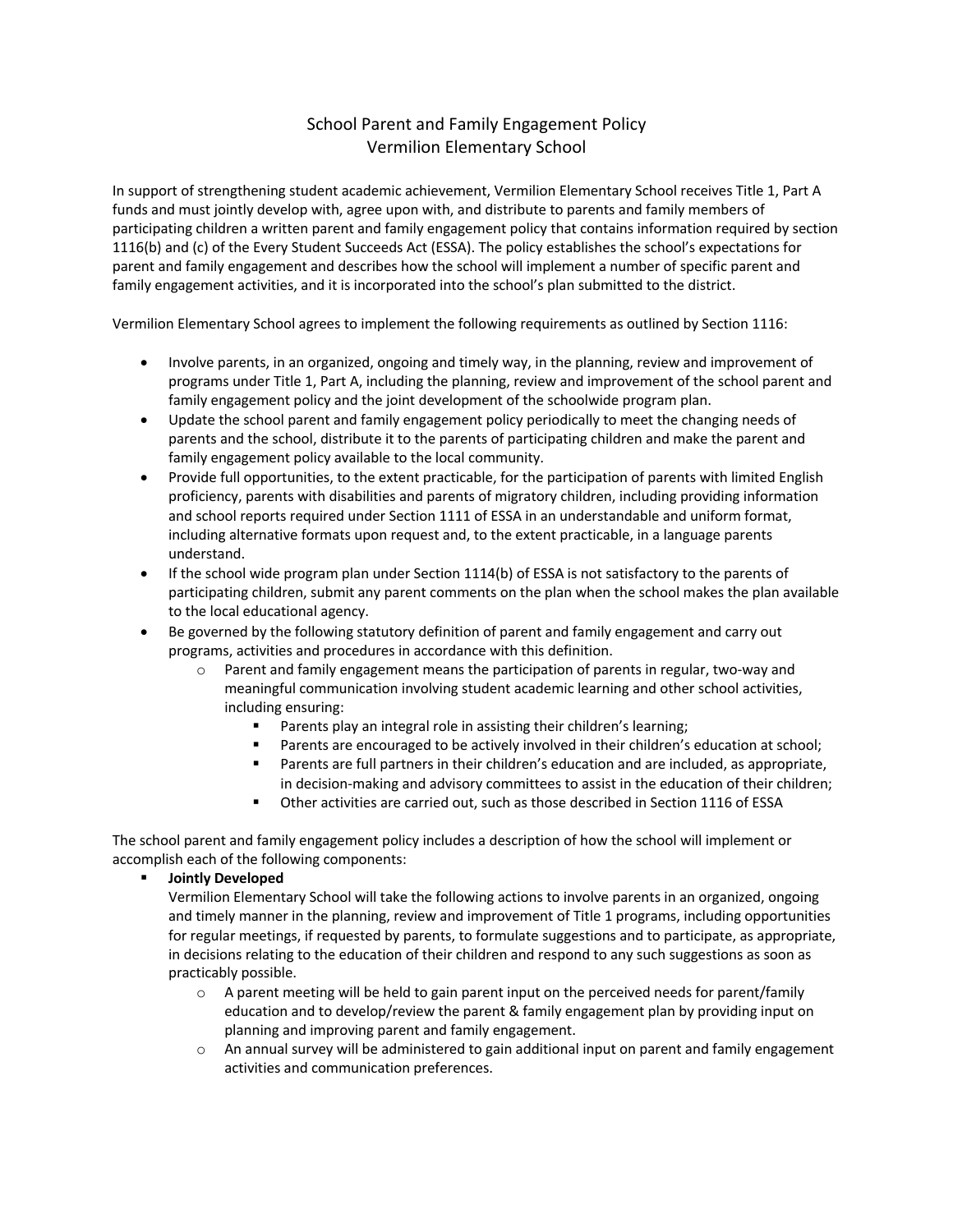# School Parent and Family Engagement Policy Vermilion Elementary School

In support of strengthening student academic achievement, Vermilion Elementary School receives Title 1, Part A funds and must jointly develop with, agree upon with, and distribute to parents and family members of participating children a written parent and family engagement policy that contains information required by section 1116(b) and (c) of the Every Student Succeeds Act (ESSA). The policy establishes the school's expectations for parent and family engagement and describes how the school will implement a number of specific parent and family engagement activities, and it is incorporated into the school's plan submitted to the district.

Vermilion Elementary School agrees to implement the following requirements as outlined by Section 1116:

- Involve parents, in an organized, ongoing and timely way, in the planning, review and improvement of programs under Title 1, Part A, including the planning, review and improvement of the school parent and family engagement policy and the joint development of the schoolwide program plan.
- Update the school parent and family engagement policy periodically to meet the changing needs of parents and the school, distribute it to the parents of participating children and make the parent and family engagement policy available to the local community.
- Provide full opportunities, to the extent practicable, for the participation of parents with limited English proficiency, parents with disabilities and parents of migratory children, including providing information and school reports required under Section 1111 of ESSA in an understandable and uniform format, including alternative formats upon request and, to the extent practicable, in a language parents understand.
- If the school wide program plan under Section 1114(b) of ESSA is not satisfactory to the parents of participating children, submit any parent comments on the plan when the school makes the plan available to the local educational agency.
- Be governed by the following statutory definition of parent and family engagement and carry out programs, activities and procedures in accordance with this definition.
	- $\circ$  Parent and family engagement means the participation of parents in regular, two-way and meaningful communication involving student academic learning and other school activities, including ensuring:
		- Parents play an integral role in assisting their children's learning;
		- Parents are encouraged to be actively involved in their children's education at school;
		- Parents are full partners in their children's education and are included, as appropriate, in decision-making and advisory committees to assist in the education of their children;
		- § Other activities are carried out, such as those described in Section 1116 of ESSA

The school parent and family engagement policy includes a description of how the school will implement or accomplish each of the following components:

§ **Jointly Developed**

Vermilion Elementary School will take the following actions to involve parents in an organized, ongoing and timely manner in the planning, review and improvement of Title 1 programs, including opportunities for regular meetings, if requested by parents, to formulate suggestions and to participate, as appropriate, in decisions relating to the education of their children and respond to any such suggestions as soon as practicably possible.

- $\circ$  A parent meeting will be held to gain parent input on the perceived needs for parent/family education and to develop/review the parent & family engagement plan by providing input on planning and improving parent and family engagement.
- $\circ$  An annual survey will be administered to gain additional input on parent and family engagement activities and communication preferences.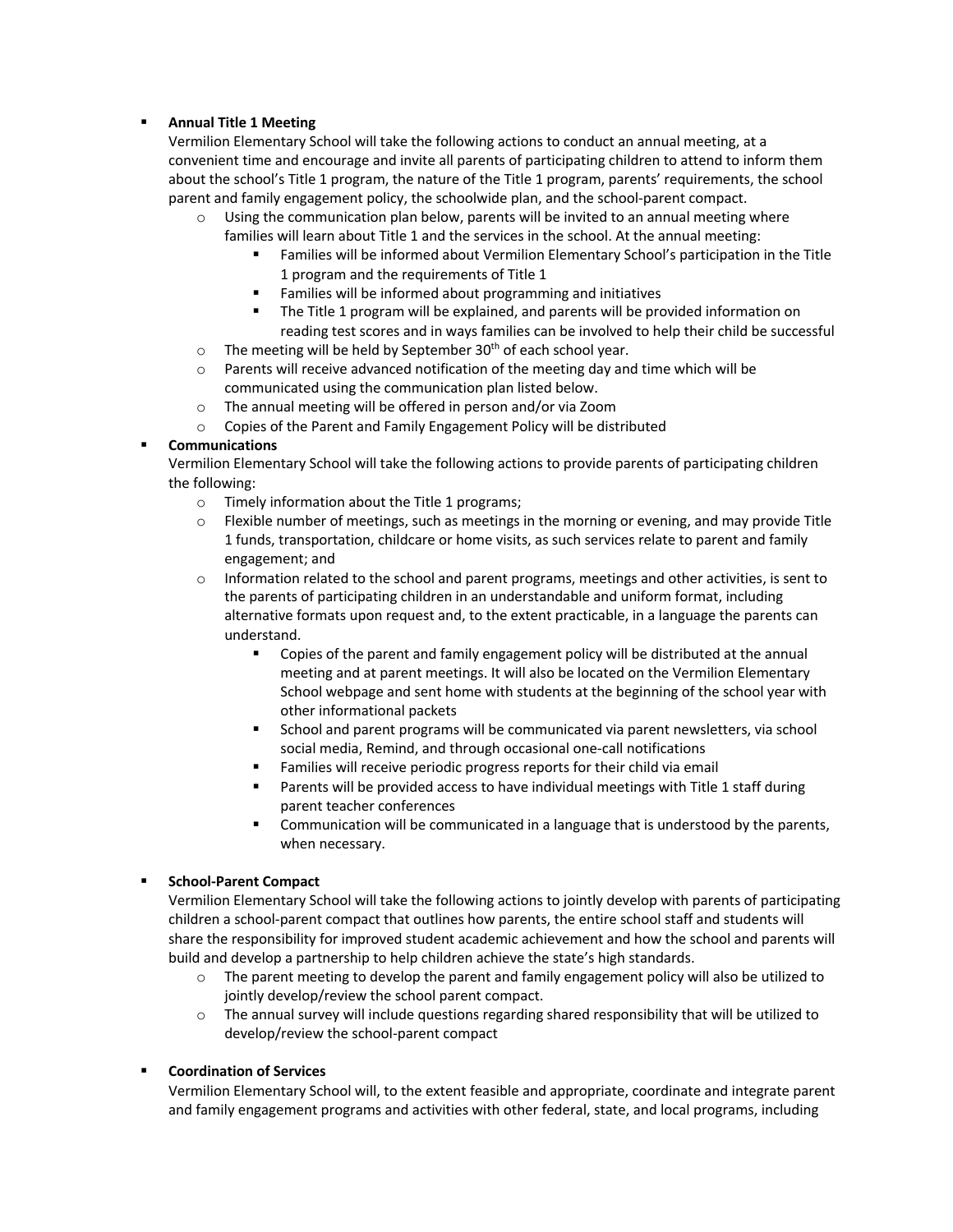### § **Annual Title 1 Meeting**

Vermilion Elementary School will take the following actions to conduct an annual meeting, at a convenient time and encourage and invite all parents of participating children to attend to inform them about the school's Title 1 program, the nature of the Title 1 program, parents' requirements, the school parent and family engagement policy, the schoolwide plan, and the school-parent compact.

- $\circ$  Using the communication plan below, parents will be invited to an annual meeting where families will learn about Title 1 and the services in the school. At the annual meeting:
	- § Families will be informed about Vermilion Elementary School's participation in the Title 1 program and the requirements of Title 1
	- Families will be informed about programming and initiatives
	- The Title 1 program will be explained, and parents will be provided information on reading test scores and in ways families can be involved to help their child be successful
- $\circ$  The meeting will be held by September 30<sup>th</sup> of each school year.
- $\circ$  Parents will receive advanced notification of the meeting day and time which will be communicated using the communication plan listed below.
- o The annual meeting will be offered in person and/or via Zoom
- o Copies of the Parent and Family Engagement Policy will be distributed

### § **Communications**

Vermilion Elementary School will take the following actions to provide parents of participating children the following:

- o Timely information about the Title 1 programs;
- $\circ$  Flexible number of meetings, such as meetings in the morning or evening, and may provide Title 1 funds, transportation, childcare or home visits, as such services relate to parent and family engagement; and
- $\circ$  Information related to the school and parent programs, meetings and other activities, is sent to the parents of participating children in an understandable and uniform format, including alternative formats upon request and, to the extent practicable, in a language the parents can understand.
	- § Copies of the parent and family engagement policy will be distributed at the annual meeting and at parent meetings. It will also be located on the Vermilion Elementary School webpage and sent home with students at the beginning of the school year with other informational packets
	- School and parent programs will be communicated via parent newsletters, via school social media, Remind, and through occasional one-call notifications
	- Families will receive periodic progress reports for their child via email
	- Parents will be provided access to have individual meetings with Title 1 staff during parent teacher conferences
	- § Communication will be communicated in a language that is understood by the parents, when necessary.

## § **School-Parent Compact**

Vermilion Elementary School will take the following actions to jointly develop with parents of participating children a school-parent compact that outlines how parents, the entire school staff and students will share the responsibility for improved student academic achievement and how the school and parents will build and develop a partnership to help children achieve the state's high standards.

- $\circ$  The parent meeting to develop the parent and family engagement policy will also be utilized to jointly develop/review the school parent compact.
- o The annual survey will include questions regarding shared responsibility that will be utilized to develop/review the school-parent compact

#### § **Coordination of Services**

Vermilion Elementary School will, to the extent feasible and appropriate, coordinate and integrate parent and family engagement programs and activities with other federal, state, and local programs, including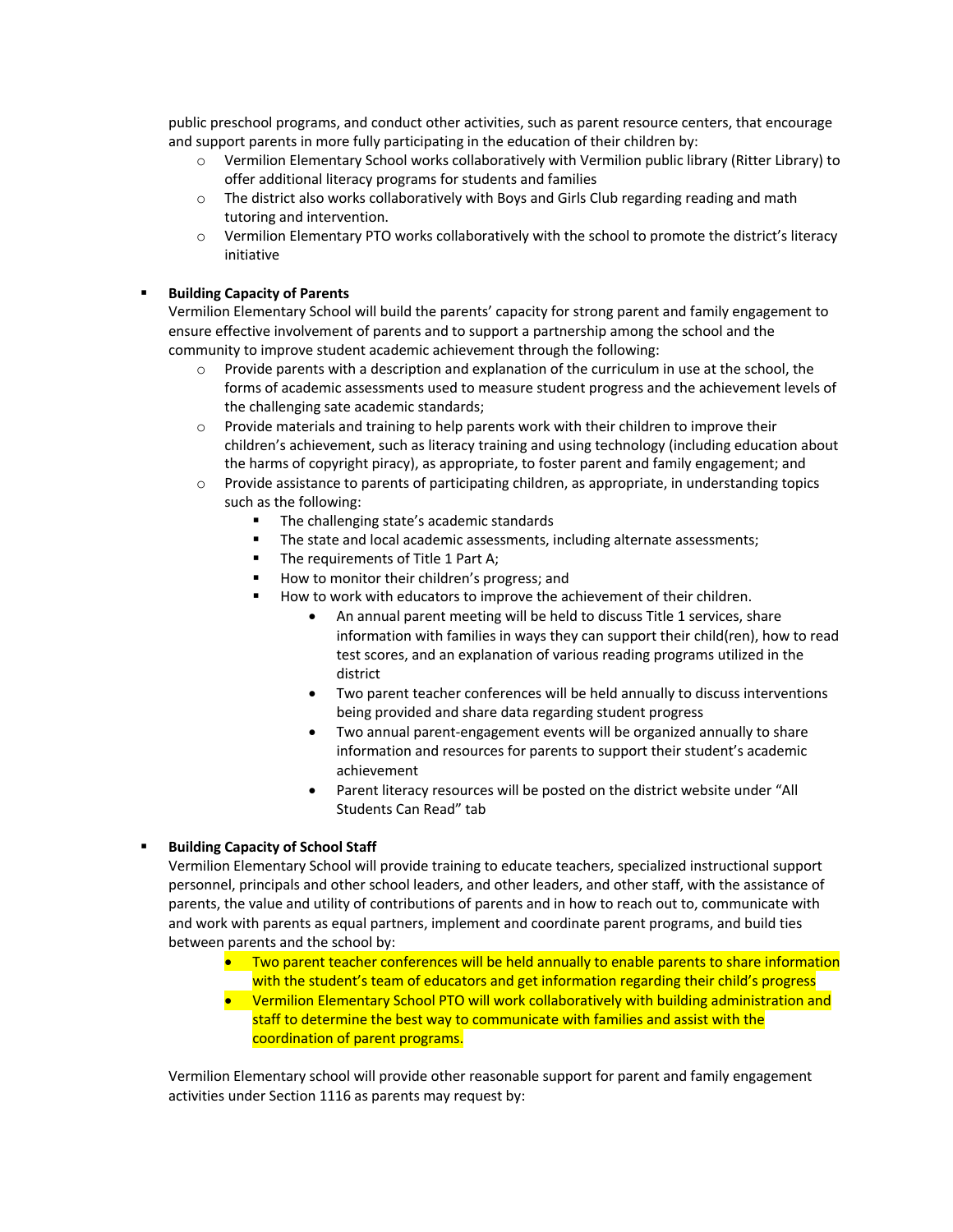public preschool programs, and conduct other activities, such as parent resource centers, that encourage and support parents in more fully participating in the education of their children by:

- o Vermilion Elementary School works collaboratively with Vermilion public library (Ritter Library) to offer additional literacy programs for students and families
- o The district also works collaboratively with Boys and Girls Club regarding reading and math tutoring and intervention.
- o Vermilion Elementary PTO works collaboratively with the school to promote the district's literacy initiative

#### § **Building Capacity of Parents**

Vermilion Elementary School will build the parents' capacity for strong parent and family engagement to ensure effective involvement of parents and to support a partnership among the school and the community to improve student academic achievement through the following:

- $\circ$  Provide parents with a description and explanation of the curriculum in use at the school, the forms of academic assessments used to measure student progress and the achievement levels of the challenging sate academic standards;
- $\circ$  Provide materials and training to help parents work with their children to improve their children's achievement, such as literacy training and using technology (including education about the harms of copyright piracy), as appropriate, to foster parent and family engagement; and
- o Provide assistance to parents of participating children, as appropriate, in understanding topics such as the following:
	- The challenging state's academic standards
	- **•** The state and local academic assessments, including alternate assessments;
	- The requirements of Title 1 Part A;
	- How to monitor their children's progress; and
	- How to work with educators to improve the achievement of their children.
		- An annual parent meeting will be held to discuss Title 1 services, share information with families in ways they can support their child(ren), how to read test scores, and an explanation of various reading programs utilized in the district
		- Two parent teacher conferences will be held annually to discuss interventions being provided and share data regarding student progress
		- Two annual parent-engagement events will be organized annually to share information and resources for parents to support their student's academic achievement
		- Parent literacy resources will be posted on the district website under "All Students Can Read" tab

#### § **Building Capacity of School Staff**

Vermilion Elementary School will provide training to educate teachers, specialized instructional support personnel, principals and other school leaders, and other leaders, and other staff, with the assistance of parents, the value and utility of contributions of parents and in how to reach out to, communicate with and work with parents as equal partners, implement and coordinate parent programs, and build ties between parents and the school by:

- Two parent teacher conferences will be held annually to enable parents to share information with the student's team of educators and get information regarding their child's progress
- Vermilion Elementary School PTO will work collaboratively with building administration and staff to determine the best way to communicate with families and assist with the coordination of parent programs.

Vermilion Elementary school will provide other reasonable support for parent and family engagement activities under Section 1116 as parents may request by: